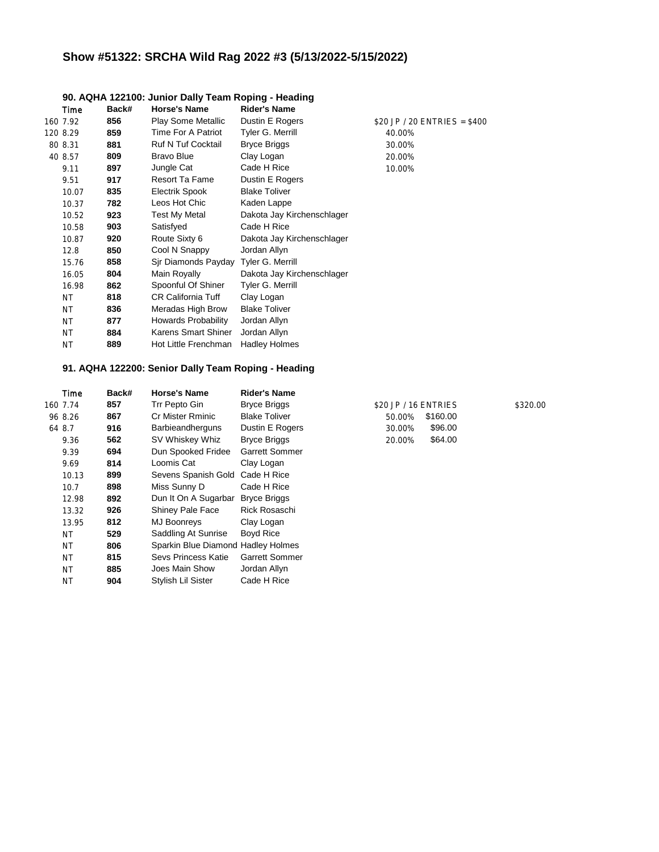## **Show #51322: SRCHA Wild Rag 2022 #3 (5/13/2022-5/15/2022)**

|           |       | 30. A GILA TZZ TOO. OUTITOL DAILY TEATH INOPING - HEAGHIN |                            |                               |
|-----------|-------|-----------------------------------------------------------|----------------------------|-------------------------------|
| Time      | Back# | <b>Horse's Name</b>                                       | <b>Rider's Name</b>        |                               |
| 160 7.92  | 856   | Play Some Metallic                                        | Dustin E Rogers            | \$20 JP / 20 $ENTRIES = $400$ |
| 120 8.29  | 859   | Time For A Patriot                                        | Tyler G. Merrill           | 40.00%                        |
| 80 8.31   | 881   | <b>Ruf N Tuf Cocktail</b>                                 | <b>Bryce Briggs</b>        | 30.00%                        |
| 40 8.57   | 809   | <b>Bravo Blue</b>                                         | Clay Logan                 | 20.00%                        |
| 9.11      | 897   | Jungle Cat                                                | Cade H Rice                | 10.00%                        |
| 9.51      | 917   | <b>Resort Ta Fame</b>                                     | Dustin E Rogers            |                               |
| 10.07     | 835   | Electrik Spook                                            | <b>Blake Toliver</b>       |                               |
| 10.37     | 782   | Leos Hot Chic                                             | Kaden Lappe                |                               |
| 10.52     | 923   | Test My Metal                                             | Dakota Jay Kirchenschlager |                               |
| 10.58     | 903   | Satisfyed                                                 | Cade H Rice                |                               |
| 10.87     | 920   | Route Sixty 6                                             | Dakota Jay Kirchenschlager |                               |
| 12.8      | 850   | Cool N Snappy                                             | Jordan Allyn               |                               |
| 15.76     | 858   | Sir Diamonds Payday Tyler G. Merrill                      |                            |                               |
| 16.05     | 804   | Main Royally                                              | Dakota Jay Kirchenschlager |                               |
| 16.98     | 862   | Spoonful Of Shiner                                        | Tyler G. Merrill           |                               |
| <b>NT</b> | 818   | <b>CR California Tuff</b>                                 | Clay Logan                 |                               |
| <b>NT</b> | 836   | Meradas High Brow                                         | <b>Blake Toliver</b>       |                               |
| <b>NT</b> | 877   | <b>Howards Probability</b>                                | Jordan Allyn               |                               |
| <b>NT</b> | 884   | Karens Smart Shiner                                       | Jordan Allyn               |                               |
| <b>NT</b> | 889   | Hot Little Frenchman                                      | <b>Hadley Holmes</b>       |                               |
|           |       |                                                           |                            |                               |

#### **90. AQHA 122100: Junior Dally Team Roping - Heading**

#### **91. AQHA 122200: Senior Dally Team Roping - Heading**

| Time      | Back# | <b>Horse's Name</b>                | <b>Rider's Name</b>   |                      |          |          |
|-----------|-------|------------------------------------|-----------------------|----------------------|----------|----------|
| 160 7.74  | 857   | Trr Pepto Gin                      | <b>Bryce Briggs</b>   | \$20 JP / 16 ENTRIES |          | \$320.00 |
| 96 8.26   | 867   | <b>Cr Mister Rminic</b>            | <b>Blake Toliver</b>  | 50.00%               | \$160.00 |          |
| 64 8.7    | 916   | <b>Barbieandherguns</b>            | Dustin E Rogers       | 30.00%               | \$96.00  |          |
| 9.36      | 562   | SV Whiskey Whiz                    | <b>Bryce Briggs</b>   | 20.00%               | \$64.00  |          |
| 9.39      | 694   | Dun Spooked Fridee                 | <b>Garrett Sommer</b> |                      |          |          |
| 9.69      | 814   | Loomis Cat                         | Clay Logan            |                      |          |          |
| 10.13     | 899   | Sevens Spanish Gold                | Cade H Rice           |                      |          |          |
| 10.7      | 898   | Miss Sunny D                       | Cade H Rice           |                      |          |          |
| 12.98     | 892   | Dun It On A Sugarbar Bryce Briggs  |                       |                      |          |          |
| 13.32     | 926   | Shiney Pale Face                   | Rick Rosaschi         |                      |          |          |
| 13.95     | 812   | MJ Boonreys                        | Clay Logan            |                      |          |          |
| NT.       | 529   | Saddling At Sunrise                | Boyd Rice             |                      |          |          |
| NT.       | 806   | Sparkin Blue Diamond Hadley Holmes |                       |                      |          |          |
| NT.       | 815   | Sevs Princess Katie                | <b>Garrett Sommer</b> |                      |          |          |
| NT.       | 885   | Joes Main Show                     | Jordan Allyn          |                      |          |          |
| <b>NT</b> | 904   | Stylish Lil Sister                 | Cade H Rice           |                      |          |          |
|           |       |                                    |                       |                      |          |          |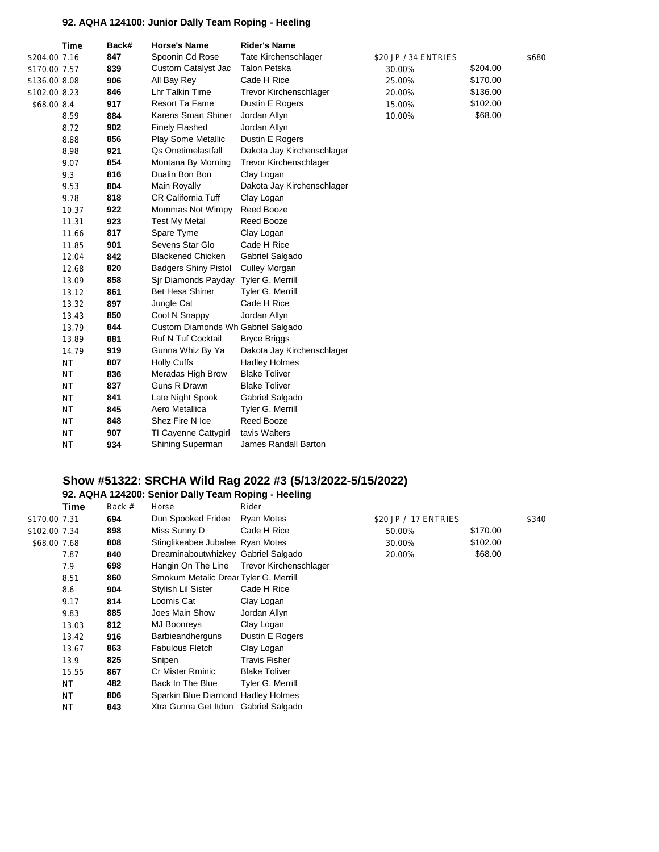## **92. AQHA 124100: Junior Dally Team Roping - Heeling**

|               | Time      | Back# | <b>Horse's Name</b>                | <b>Rider's Name</b>           |                      |          |       |
|---------------|-----------|-------|------------------------------------|-------------------------------|----------------------|----------|-------|
| \$204.00 7.16 |           | 847   | Spoonin Cd Rose                    | Tate Kirchenschlager          | \$20 JP / 34 ENTRIES |          | \$680 |
| \$170.00 7.57 |           | 839   | Custom Catalyst Jac                | <b>Talon Petska</b>           | 30.00%               | \$204.00 |       |
| \$136.00 8.08 |           | 906   | All Bay Rey                        | Cade H Rice                   | 25.00%               | \$170.00 |       |
| \$102.00 8.23 |           | 846   | Lhr Talkin Time                    | <b>Trevor Kirchenschlager</b> | 20.00%               | \$136.00 |       |
| \$68.00 8.4   |           | 917   | <b>Resort Ta Fame</b>              | Dustin E Rogers               | 15.00%               | \$102.00 |       |
|               | 8.59      | 884   | <b>Karens Smart Shiner</b>         | Jordan Allyn                  | 10.00%               | \$68.00  |       |
|               | 8.72      | 902   | <b>Finely Flashed</b>              | Jordan Allyn                  |                      |          |       |
|               | 8.88      | 856   | <b>Play Some Metallic</b>          | Dustin E Rogers               |                      |          |       |
|               | 8.98      | 921   | <b>Qs Onetimelastfall</b>          | Dakota Jay Kirchenschlager    |                      |          |       |
|               | 9.07      | 854   | Montana By Morning                 | Trevor Kirchenschlager        |                      |          |       |
|               | 9.3       | 816   | Dualin Bon Bon                     | Clay Logan                    |                      |          |       |
|               | 9.53      | 804   | Main Royally                       | Dakota Jay Kirchenschlager    |                      |          |       |
|               | 9.78      | 818   | <b>CR California Tuff</b>          | Clay Logan                    |                      |          |       |
|               | 10.37     | 922   | Mommas Not Wimpy                   | Reed Booze                    |                      |          |       |
|               | 11.31     | 923   | <b>Test My Metal</b>               | Reed Booze                    |                      |          |       |
|               | 11.66     | 817   | Spare Tyme                         | Clay Logan                    |                      |          |       |
|               | 11.85     | 901   | Sevens Star Glo                    | Cade H Rice                   |                      |          |       |
|               | 12.04     | 842   | <b>Blackened Chicken</b>           | Gabriel Salgado               |                      |          |       |
|               | 12.68     | 820   | <b>Badgers Shiny Pistol</b>        | <b>Culley Morgan</b>          |                      |          |       |
|               | 13.09     | 858   | Sjr Diamonds Payday                | Tyler G. Merrill              |                      |          |       |
|               | 13.12     | 861   | <b>Bet Hesa Shiner</b>             | Tyler G. Merrill              |                      |          |       |
|               | 13.32     | 897   | Jungle Cat                         | Cade H Rice                   |                      |          |       |
|               | 13.43     | 850   | Cool N Snappy                      | Jordan Allyn                  |                      |          |       |
|               | 13.79     | 844   | Custom Diamonds Wh Gabriel Salgado |                               |                      |          |       |
|               | 13.89     | 881   | Ruf N Tuf Cocktail                 | <b>Bryce Briggs</b>           |                      |          |       |
|               | 14.79     | 919   | Gunna Whiz By Ya                   | Dakota Jay Kirchenschlager    |                      |          |       |
|               | <b>NT</b> | 807   | <b>Holly Cuffs</b>                 | <b>Hadley Holmes</b>          |                      |          |       |
|               | <b>NT</b> | 836   | Meradas High Brow                  | <b>Blake Toliver</b>          |                      |          |       |
|               | <b>NT</b> | 837   | Guns R Drawn                       | <b>Blake Toliver</b>          |                      |          |       |
|               | <b>NT</b> | 841   | Late Night Spook                   | Gabriel Salgado               |                      |          |       |
|               | <b>NT</b> | 845   | Aero Metallica                     | Tyler G. Merrill              |                      |          |       |
|               | <b>NT</b> | 848   | Shez Fire N Ice                    | Reed Booze                    |                      |          |       |
|               | <b>NT</b> | 907   | TI Cayenne Cattygirl               | tavis Walters                 |                      |          |       |
|               | <b>NT</b> | 934   | Shining Superman                   | James Randall Barton          |                      |          |       |

## **Show #51322: SRCHA Wild Rag 2022 #3 (5/13/2022-5/15/2022)**

# **92. AQHA 124200: Senior Dally Team Roping - Heeling**

|               | Time      | Back # | Horse                                 | Rider                                     |                      |          |       |
|---------------|-----------|--------|---------------------------------------|-------------------------------------------|----------------------|----------|-------|
| \$170.00 7.31 |           | 694    | Dun Spooked Fridee                    | <b>Ryan Motes</b>                         | \$20 JP / 17 ENTRIES |          | \$340 |
| \$102.00 7.34 |           | 898    | Miss Sunny D                          | Cade H Rice                               | 50.00%               | \$170.00 |       |
| \$68.00 7.68  |           | 808    | Stinglikeabee Jubalee Ryan Motes      |                                           | 30.00%               | \$102.00 |       |
|               | 7.87      | 840    | Dreaminaboutwhizkey Gabriel Salgado   |                                           | 20.00%               | \$68.00  |       |
|               | 7.9       | 698    |                                       | Hangin On The Line Trevor Kirchenschlager |                      |          |       |
|               | 8.51      | 860    | Smokum Metalic Drear Tyler G. Merrill |                                           |                      |          |       |
|               | 8.6       | 904    | Stylish Lil Sister                    | Cade H Rice                               |                      |          |       |
|               | 9.17      | 814    | Loomis Cat                            | Clay Logan                                |                      |          |       |
|               | 9.83      | 885    | Joes Main Show                        | Jordan Allyn                              |                      |          |       |
|               | 13.03     | 812    | MJ Boonreys                           | Clay Logan                                |                      |          |       |
|               | 13.42     | 916    | <b>Barbieandherguns</b>               | Dustin E Rogers                           |                      |          |       |
|               | 13.67     | 863    | <b>Fabulous Fletch</b>                | Clay Logan                                |                      |          |       |
|               | 13.9      | 825    | Snipen                                | Travis Fisher                             |                      |          |       |
|               | 15.55     | 867    | <b>Cr Mister Rminic</b>               | <b>Blake Toliver</b>                      |                      |          |       |
|               | <b>NT</b> | 482    | Back In The Blue                      | Tyler G. Merrill                          |                      |          |       |
|               | <b>NT</b> | 806    | Sparkin Blue Diamond Hadley Holmes    |                                           |                      |          |       |
|               | <b>NT</b> | 843    | Xtra Gunna Get Itdun Gabriel Salgado  |                                           |                      |          |       |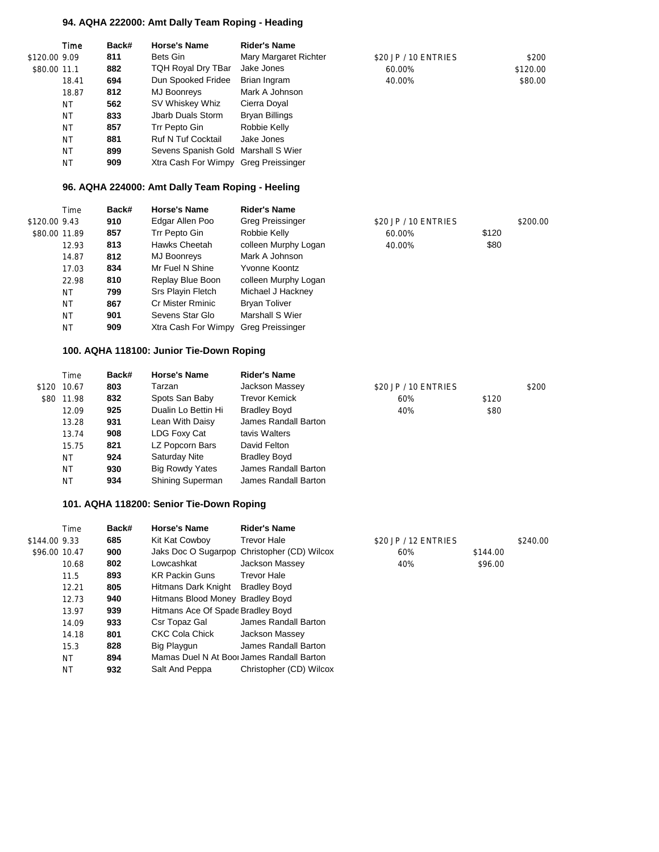#### **94. AQHA 222000: Amt Dally Team Roping - Heading**

|               | Time      | Back# | <b>Horse's Name</b>                  | <b>Rider's Name</b>   |                      |          |
|---------------|-----------|-------|--------------------------------------|-----------------------|----------------------|----------|
| \$120.00 9.09 |           | 811   | Bets Gin                             | Mary Margaret Richter | \$20 JP / 10 ENTRIES | \$200    |
| \$80.00 11.1  |           | 882   | TQH Royal Dry TBar                   | Jake Jones            | 60.00%               | \$120.00 |
|               | 18.41     | 694   | Dun Spooked Fridee                   | Brian Ingram          | 40.00%               | \$80.00  |
|               | 18.87     | 812   | MJ Boonreys                          | Mark A Johnson        |                      |          |
|               | <b>NT</b> | 562   | SV Whiskey Whiz                      | Cierra Doyal          |                      |          |
|               | <b>NT</b> | 833   | Jbarb Duals Storm                    | Bryan Billings        |                      |          |
|               | <b>NT</b> | 857   | Trr Pepto Gin                        | Robbie Kelly          |                      |          |
|               | <b>NT</b> | 881   | <b>Ruf N Tuf Cocktail</b>            | Jake Jones            |                      |          |
|               | <b>NT</b> | 899   | Sevens Spanish Gold Marshall S Wier  |                       |                      |          |
|               | <b>NT</b> | 909   | Xtra Cash For Wimpy Greg Preissinger |                       |                      |          |

#### **96. AQHA 224000: Amt Dally Team Roping - Heeling**

|               | Time      | Back# | <b>Horse's Name</b> | <b>Rider's Name</b>     |                      |       |          |
|---------------|-----------|-------|---------------------|-------------------------|----------------------|-------|----------|
| \$120.00 9.43 |           | 910   | Edgar Allen Poo     | <b>Greg Preissinger</b> | \$20 JP / 10 ENTRIES |       | \$200.00 |
| \$80.00 11.89 |           | 857   | Trr Pepto Gin       | Robbie Kelly            | 60.00%               | \$120 |          |
|               | 12.93     | 813   | Hawks Cheetah       | colleen Murphy Logan    | 40.00%               | \$80  |          |
|               | 14.87     | 812   | MJ Boonreys         | Mark A Johnson          |                      |       |          |
|               | 17.03     | 834   | Mr Fuel N Shine     | Yvonne Koontz           |                      |       |          |
|               | 22.98     | 810   | Replay Blue Boon    | colleen Murphy Logan    |                      |       |          |
|               | <b>NT</b> | 799   | Srs Playin Fletch   | Michael J Hackney       |                      |       |          |
|               | <b>NT</b> | 867   | Cr Mister Rminic    | <b>Bryan Toliver</b>    |                      |       |          |
|               | <b>NT</b> | 901   | Sevens Star Glo     | Marshall S Wier         |                      |       |          |
|               | <b>NT</b> | 909   | Xtra Cash For Wimpy | <b>Greg Preissinger</b> |                      |       |          |
|               |           |       |                     |                         |                      |       |          |

#### **100. AQHA 118100: Junior Tie-Down Roping**

| Time        | Back# | <b>Horse's Name</b>    | <b>Rider's Name</b>  |                      |       |       |
|-------------|-------|------------------------|----------------------|----------------------|-------|-------|
| \$120 10.67 | 803   | Tarzan                 | Jackson Massey       | \$20 JP / 10 ENTRIES |       | \$200 |
| \$80 11.98  | 832   | Spots San Baby         | <b>Trevor Kemick</b> | 60%                  | \$120 |       |
| 12.09       | 925   | Dualin Lo Bettin Hi    | <b>Bradley Boyd</b>  | 40%                  | \$80  |       |
| 13.28       | 931   | Lean With Daisy        | James Randall Barton |                      |       |       |
| 13.74       | 908   | LDG Foxy Cat           | tavis Walters        |                      |       |       |
| 15.75       | 821   | LZ Popcorn Bars        | David Felton         |                      |       |       |
| <b>NT</b>   | 924   | Saturday Nite          | <b>Bradley Boyd</b>  |                      |       |       |
| ΝT          | 930   | <b>Big Rowdy Yates</b> | James Randall Barton |                      |       |       |
| <b>NT</b>   | 934   | Shining Superman       | James Randall Barton |                      |       |       |
|             |       |                        |                      |                      |       |       |

#### **101. AQHA 118200: Senior Tie-Down Roping**

|              | Time          | Back# | <b>Horse's Name</b>               | <b>Rider's Name</b>                         |                      |          |          |
|--------------|---------------|-------|-----------------------------------|---------------------------------------------|----------------------|----------|----------|
| \$144.009.33 |               | 685   | Kit Kat Cowboy                    | Trevor Hale                                 | \$20 JP / 12 ENTRIES |          | \$240.00 |
|              | \$96.00 10.47 | 900   |                                   | Jaks Doc O Sugarpop Christopher (CD) Wilcox | 60%                  | \$144.00 |          |
|              | 10.68         | 802   | Lowcashkat                        | Jackson Massey                              | 40%                  | \$96.00  |          |
|              | 11.5          | 893   | <b>KR Packin Guns</b>             | Trevor Hale                                 |                      |          |          |
|              | 12.21         | 805   | Hitmans Dark Knight               | <b>Bradley Boyd</b>                         |                      |          |          |
|              | 12.73         | 940   | Hitmans Blood Money Bradley Boyd  |                                             |                      |          |          |
|              | 13.97         | 939   | Hitmans Ace Of Spade Bradley Boyd |                                             |                      |          |          |
|              | 14.09         | 933   | Csr Topaz Gal                     | James Randall Barton                        |                      |          |          |
|              | 14.18         | 801   | <b>CKC Cola Chick</b>             | Jackson Massey                              |                      |          |          |
|              | 15.3          | 828   | Big Playgun                       | James Randall Barton                        |                      |          |          |
|              | <b>NT</b>     | 894   |                                   | Mamas Duel N At Boor James Randall Barton   |                      |          |          |
|              | <b>NT</b>     | 932   | Salt And Peppa                    | Christopher (CD) Wilcox                     |                      |          |          |